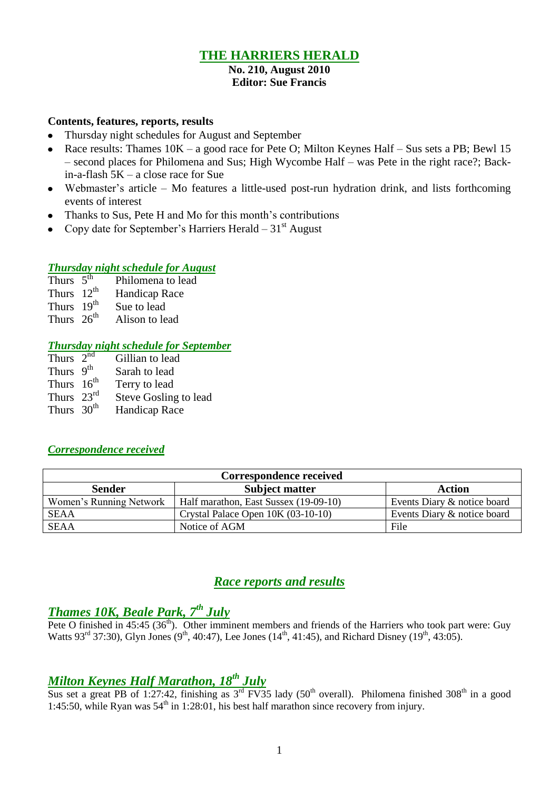### **THE HARRIERS HERALD**

#### **No. 210, August 2010 Editor: Sue Francis**

#### **Contents, features, reports, results**

- Thursday night schedules for August and September
- $\bullet$ Race results: Thames 10K – a good race for Pete O; Milton Keynes Half – Sus sets a PB; Bewl 15 – second places for Philomena and Sus; High Wycombe Half – was Pete in the right race?; Backin-a-flash 5K – a close race for Sue
- Webmaster's article Mo features a little-used post-run hydration drink, and lists forthcoming  $\bullet$ events of interest
- Thanks to Sus, Pete H and Mo for this month's contributions  $\bullet$
- Copy date for September's Harriers Herald  $31<sup>st</sup>$  August

# *Thursday night schedule for August*

- Thurs  $5<sup>th</sup>$ Thurs  $5^{\text{th}}$  Philomena to lead<br>Thurs  $12^{\text{th}}$  Handicap Race
- Handicap Race
- Thurs  $19<sup>th</sup>$  Sue to lead
- Thurs  $26<sup>th</sup>$ Alison to lead

### *Thursday night schedule for September*

| Thurs $2^{n\overline{d}}$ | Gillian to lead       |
|---------------------------|-----------------------|
| Thurs $9th$               | Sarah to lead         |
| Thurs $16^{th}$           | Terry to lead         |
| Thurs $23rd$              | Steve Gosling to lead |
| Thurs 30 <sup>th</sup>    | Handicap Race         |

#### *Correspondence received*

| <b>Correspondence received</b> |                                       |                             |  |  |  |  |
|--------------------------------|---------------------------------------|-----------------------------|--|--|--|--|
| <b>Sender</b>                  | <b>Subject matter</b>                 | <b>Action</b>               |  |  |  |  |
| Women's Running Network        | Half marathon, East Sussex (19-09-10) | Events Diary & notice board |  |  |  |  |
| <b>SEAA</b>                    | Crystal Palace Open $10K (03-10-10)$  | Events Diary & notice board |  |  |  |  |
| SEAA                           | Notice of AGM                         | File                        |  |  |  |  |

### *Race reports and results*

## *Thames 10K, Beale Park, 7th July*

Pete O finished in  $45:45$  ( $36<sup>th</sup>$ ). Other imminent members and friends of the Harriers who took part were: Guy Watts 93<sup>rd</sup> 37:30), Glyn Jones (9<sup>th</sup>, 40:47), Lee Jones (14<sup>th</sup>, 41:45), and Richard Disney (19<sup>th</sup>, 43:05).

## *Milton Keynes Half Marathon, 18th July*

Sus set a great PB of 1:27:42, finishing as  $3^{rd}$  FV35 lady (50<sup>th</sup> overall). Philomena finished 308<sup>th</sup> in a good 1:45:50, while Ryan was  $54<sup>th</sup>$  in 1:28:01, his best half marathon since recovery from injury.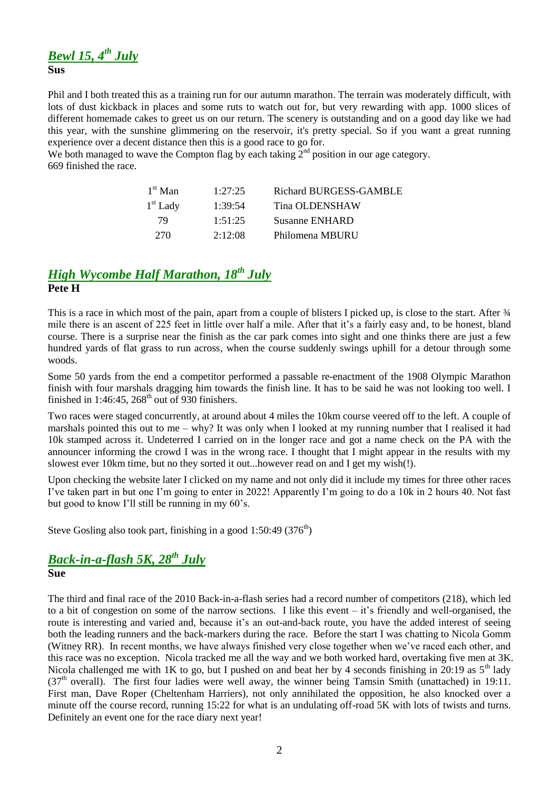## *Bewl 15, 4th July*

**Sus**

Phil and I both treated this as a training run for our autumn marathon. The terrain was moderately difficult, with lots of dust kickback in places and some ruts to watch out for, but very rewarding with app. 1000 slices of different homemade cakes to greet us on our return. The scenery is outstanding and on a good day like we had this year, with the sunshine glimmering on the reservoir, it's pretty special. So if you want a great running experience over a decent distance then this is a good race to go for.

We both managed to wave the Compton flag by each taking  $2<sup>nd</sup>$  position in our age category. 669 finished the race.

| $1st$ Man  | 1:27:25 | Richard BURGESS-GAMBLE |
|------------|---------|------------------------|
| $1st$ Lady | 1:39:54 | Tina OLDENSHAW         |
| 79         | 1:51:25 | <b>Susanne ENHARD</b>  |
| 270        | 2:12:08 | Philomena MBURU        |

### *High Wycombe Half Marathon, 18th July* **Pete H**

This is a race in which most of the pain, apart from a couple of blisters I picked up, is close to the start. After  $\frac{3}{4}$ mile there is an ascent of 225 feet in little over half a mile. After that it's a fairly easy and, to be honest, bland course. There is a surprise near the finish as the car park comes into sight and one thinks there are just a few hundred yards of flat grass to run across, when the course suddenly swings uphill for a detour through some woods.

Some 50 yards from the end a competitor performed a passable re-enactment of the 1908 Olympic Marathon finish with four marshals dragging him towards the finish line. It has to be said he was not looking too well. I finished in 1:46:45,  $268<sup>th</sup>$  out of 930 finishers.

Two races were staged concurrently, at around about 4 miles the 10km course veered off to the left. A couple of marshals pointed this out to me – why? It was only when I looked at my running number that I realised it had 10k stamped across it. Undeterred I carried on in the longer race and got a name check on the PA with the announcer informing the crowd I was in the wrong race. I thought that I might appear in the results with my slowest ever 10km time, but no they sorted it out...however read on and I get my wish(!).

Upon checking the website later I clicked on my name and not only did it include my times for three other races I've taken part in but one I'm going to enter in 2022! Apparently I'm going to do a 10k in 2 hours 40. Not fast but good to know I'll still be running in my 60's.

Steve Gosling also took part, finishing in a good  $1:50:49(376<sup>th</sup>)$ 

# *Back-in-a-flash 5K, 28 th July*

#### **Sue**

The third and final race of the 2010 Back-in-a-flash series had a record number of competitors (218), which led to a bit of congestion on some of the narrow sections. I like this event – it's friendly and well-organised, the route is interesting and varied and, because it's an out-and-back route, you have the added interest of seeing both the leading runners and the back-markers during the race. Before the start I was chatting to Nicola Gomm (Witney RR). In recent months, we have always finished very close together when we've raced each other, and this race was no exception. Nicola tracked me all the way and we both worked hard, overtaking five men at 3K. Nicola challenged me with 1K to go, but I pushed on and beat her by 4 seconds finishing in 20:19 as  $5<sup>th</sup>$  lady  $(37<sup>th</sup> overall)$ . The first four ladies were well away, the winner being Tamsin Smith (unattached) in 19:11. First man, Dave Roper (Cheltenham Harriers), not only annihilated the opposition, he also knocked over a minute off the course record, running 15:22 for what is an undulating off-road 5K with lots of twists and turns. Definitely an event one for the race diary next year!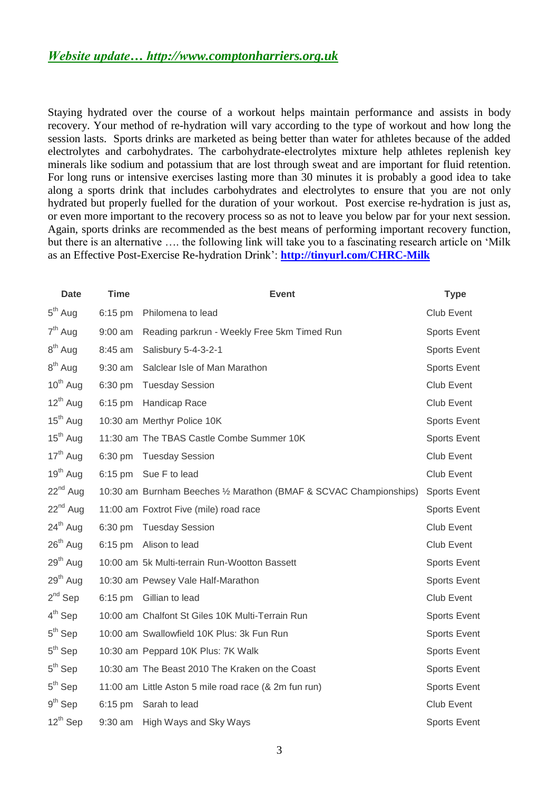Staying hydrated over the course of a workout helps maintain performance and assists in body recovery. Your method of re-hydration will vary according to the type of workout and how long the session lasts. Sports drinks are marketed as being better than water for athletes because of the added electrolytes and carbohydrates. The carbohydrate-electrolytes mixture help athletes replenish key minerals like sodium and potassium that are lost through sweat and are important for fluid retention. For long runs or intensive exercises lasting more than 30 minutes it is probably a good idea to take along a sports drink that includes carbohydrates and electrolytes to ensure that you are not only hydrated but properly fuelled for the duration of your workout. Post exercise re-hydration is just as, or even more important to the recovery process so as not to leave you below par for your next session. Again, sports drinks are recommended as the best means of performing important recovery function, but there is an alternative …. the following link will take you to a fascinating research article on 'Milk as an Effective Post-Exercise Re-hydration Drink': **<http://tinyurl.com/CHRC-Milk>**

| <b>Date</b>          | <b>Time</b> | <b>Event</b>                                                       | <b>Type</b>         |
|----------------------|-------------|--------------------------------------------------------------------|---------------------|
| $5th$ Aug            | 6:15 pm     | Philomena to lead                                                  | Club Event          |
| 7 <sup>th</sup> Aug  | $9:00$ am   | Reading parkrun - Weekly Free 5km Timed Run                        | Sports Event        |
| $8th$ Aug            | 8:45 am     | Salisbury 5-4-3-2-1                                                | Sports Event        |
| $8th$ Aug            | 9:30 am     | Salclear Isle of Man Marathon                                      | <b>Sports Event</b> |
| $10^{th}$ Aug        | 6:30 pm     | <b>Tuesday Session</b>                                             | Club Event          |
| $12^{th}$ Aug        |             | 6:15 pm Handicap Race                                              | Club Event          |
| 15 <sup>th</sup> Aug |             | 10:30 am Merthyr Police 10K                                        | Sports Event        |
| $15th$ Aug           |             | 11:30 am The TBAS Castle Combe Summer 10K                          | <b>Sports Event</b> |
| $17th$ Aug           |             | 6:30 pm Tuesday Session                                            | Club Event          |
| $19th$ Aug           |             | 6:15 pm Sue F to lead                                              | Club Event          |
| $22nd$ Aug           |             | 10:30 am Burnham Beeches 1/2 Marathon (BMAF & SCVAC Championships) | <b>Sports Event</b> |
| $22^{nd}$ Aug        |             | 11:00 am Foxtrot Five (mile) road race                             | <b>Sports Event</b> |
| $24th$ Aug           | 6:30 pm     | <b>Tuesday Session</b>                                             | Club Event          |
| $26th$ Aug           |             | 6:15 pm Alison to lead                                             | <b>Club Event</b>   |
| $29th$ Aug           |             | 10:00 am 5k Multi-terrain Run-Wootton Bassett                      | <b>Sports Event</b> |
| $29th$ Aug           |             | 10:30 am Pewsey Vale Half-Marathon                                 | Sports Event        |
| $2^{nd}$ Sep         |             | 6:15 pm Gillian to lead                                            | Club Event          |
| $4th$ Sep            |             | 10:00 am Chalfont St Giles 10K Multi-Terrain Run                   | Sports Event        |
| $5th$ Sep            |             | 10:00 am Swallowfield 10K Plus: 3k Fun Run                         | <b>Sports Event</b> |
| $5th$ Sep            |             | 10:30 am Peppard 10K Plus: 7K Walk                                 | <b>Sports Event</b> |
| $5th$ Sep            |             | 10:30 am The Beast 2010 The Kraken on the Coast                    | Sports Event        |
| $5th$ Sep            |             | 11:00 am Little Aston 5 mile road race (& 2m fun run)              | <b>Sports Event</b> |
| $9th$ Sep            | $6:15$ pm   | Sarah to lead                                                      | Club Event          |
| $12^{th}$ Sep        |             | 9:30 am High Ways and Sky Ways                                     | <b>Sports Event</b> |